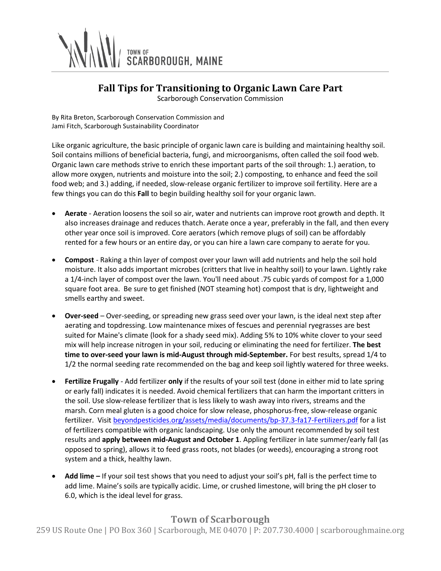

## **Fall Tips for Transitioning to Organic Lawn Care Part**

Scarborough Conservation Commission

By Rita Breton, Scarborough Conservation Commission and Jami Fitch, Scarborough Sustainability Coordinator

Like organic agriculture, the basic principle of organic lawn care is building and maintaining healthy soil. Soil contains millions of beneficial bacteria, fungi, and microorganisms, often called the soil food web. Organic lawn care methods strive to enrich these important parts of the soil through: 1.) aeration, to allow more oxygen, nutrients and moisture into the soil; 2.) composting, to enhance and feed the soil food web; and 3.) adding, if needed, slow-release organic fertilizer to improve soil fertility. Here are a few things you can do this **Fall** to begin building healthy soil for your organic lawn.

- **Aerate** Aeration loosens the soil so air, water and nutrients can improve root growth and depth. It also increases drainage and reduces thatch. Aerate once a year, preferably in the fall, and then every other year once soil is improved. Core aerators (which remove plugs of soil) can be affordably rented for a few hours or an entire day, or you can hire a lawn care company to aerate for you.
- **Compost** Raking a thin layer of compost over your lawn will add nutrients and help the soil hold moisture. It also adds important microbes (critters that live in healthy soil) to your lawn. Lightly rake a 1/4-inch layer of compost over the lawn. You'll need about .75 cubic yards of compost for a 1,000 square foot area. Be sure to get finished (NOT steaming hot) compost that is dry, lightweight and smells earthy and sweet.
- **Over-seed** Over-seeding, or spreading new grass seed over your lawn, is the ideal next step after aerating and topdressing. Low maintenance mixes of fescues and perennial ryegrasses are best suited for Maine's climate (look for a shady seed mix). Adding 5% to 10% white clover to your seed mix will help increase nitrogen in your soil, reducing or eliminating the need for fertilizer. **The best time to over-seed your lawn is mid-August through mid-September.** For best results, spread 1/4 to 1/2 the normal seeding rate recommended on the bag and keep soil lightly watered for three weeks.
- **Fertilize Frugally** Add fertilizer **only** if the results of your soil test (done in either mid to late spring or early fall) indicates it is needed. Avoid chemical fertilizers that can harm the important critters in the soil. Use slow-release fertilizer that is less likely to wash away into rivers, streams and the marsh. Corn meal gluten is a good choice for slow release, phosphorus-free, slow-release organic fertilizer. Visit [beyondpesticides.org/assets/media/documents/bp-37.3-fa17-Fertilizers.pdf](https://www.beyondpesticides.org/assets/media/documents/bp-37.3-fa17-Fertilizers.pdf) for a list of fertilizers compatible with organic landscaping. Use only the amount recommended by soil test results and **apply between mid-August and October 1**. Appling fertilizer in late summer/early fall (as opposed to spring), allows it to feed grass roots, not blades (or weeds), encouraging a strong root system and a thick, healthy lawn.
- **Add lime –** If your soil test shows that you need to adjust your soil's pH, fall is the perfect time to add lime. Maine's soils are typically acidic. Lime, or crushed limestone, will bring the pH closer to 6.0, which is the ideal level for grass.

## **Town of Scarborough**

259 US Route One | PO Box 360 | Scarborough, ME 04070 | P: 207.730.4000 | scarboroughmaine.org